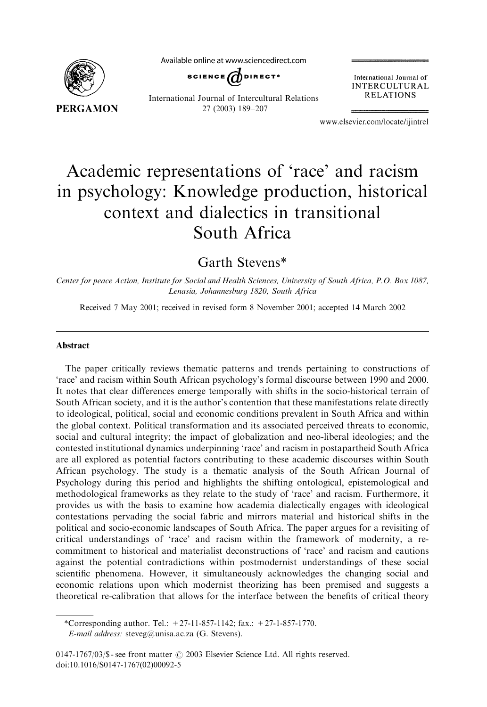

Available online at www.sciencedirect.com



International Journal of INTERCULTURAL **RELATIONS** 

International Journal of Intercultural Relations 27 (2003) 189–207

www.elsevier.com/locate/ijintrel

## Academic representations of 'race' and racism in psychology: Knowledge production, historical context and dialectics in transitional South Africa

Garth Stevens\*

Center for peace Action, Institute for Social and Health Sciences, University of South Africa, P.O. Box 1087, Lenasia, Johannesburg 1820, South Africa

Received 7 May2001; received in revised form 8 November 2001; accepted 14 March 2002

## Abstract

The paper critically reviews thematic patterns and trends pertaining to constructions of 'race' and racism within South African psychology's formal discourse between 1990 and 2000. It notes that clear differences emerge temporally with shifts in the socio-historical terrain of South African society, and it is the author's contention that these manifestations relate directly to ideological, political, social and economic conditions prevalent in South Africa and within the global context. Political transformation and its associated perceived threats to economic, social and cultural integrity; the impact of globalization and neo-liberal ideologies; and the contested institutional dynamics underpinning 'race' and racism in postapartheid South Africa are all explored as potential factors contributing to these academic discourses within South African psychology. The study is a thematic analysis of the South African Journal of Psychology during this period and highlights the shifting ontological, epistemological and methodological frameworks as they relate to the study of 'race' and racism. Furthermore, it provides us with the basis to examine how academia dialecticallyengages with ideological contestations pervading the social fabric and mirrors material and historical shifts in the political and socio-economic landscapes of South Africa. The paper argues for a revisiting of critical understandings of 'race' and racism within the framework of modernity, a recommitment to historical and materialist deconstructions of 'race' and racism and cautions against the potential contradictions within postmodernist understandings of these social scientific phenomena. However, it simultaneouslyacknowledges the changing social and economic relations upon which modernist theorizing has been premised and suggests a theoretical re-calibration that allows for the interface between the benefits of critical theory

<sup>\*</sup>Corresponding author. Tel.: +27-11-857-1142; fax.: +27-1-857-1770.

E-mail address: steveg@unisa.ac.za (G. Stevens).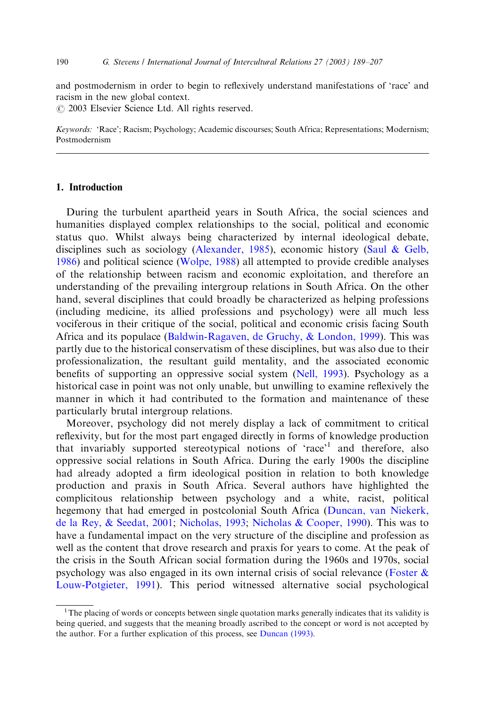and postmodernism in order to begin to reflexively understand manifestations of 'race' and racism in the new global context.

 $O$  2003 Elsevier Science Ltd. All rights reserved.

Keywords: 'Race'; Racism; Psychology; Academic discourses; South Africa; Representations; Modernism; Postmodernism

## 1. Introduction

During the turbulent apartheid years in South Africa, the social sciences and humanities displayed complex relationships to the social, political and economic status quo. Whilst always being characterized by internal ideological debate, disciplines such as sociology([Alexander, 1985](#page--1-0)), economic history[\(Saul & Gelb,](#page--1-0) [1986\)](#page--1-0) and political science [\(Wolpe, 1988\)](#page--1-0) all attempted to provide credible analyses of the relationship between racism and economic exploitation, and therefore an understanding of the prevailing intergroup relations in South Africa. On the other hand, several disciplines that could broadly be characterized as helping professions (including medicine, its allied professions and psychology) were all much less vociferous in their critique of the social, political and economic crisis facing South Africa and its populace [\(Baldwin-Ragaven, de Gruchy,](#page--1-0) [& London, 1999](#page--1-0)). This was partlydue to the historical conservatism of these disciplines, but was also due to their professionalization, the resultant guild mentality, and the associated economic benefits of supporting an oppressive social system ([Nell, 1993](#page--1-0)). Psychology as a historical case in point was not only unable, but unwilling to examine reflexively the manner in which it had contributed to the formation and maintenance of these particularly brutal intergroup relations.

Moreover, psychology did not merely display a lack of commitment to critical reflexivity, but for the most part engaged directly in forms of knowledge production that invariably supported stereotypical notions of 'race'<sup>1</sup> and therefore, also oppressive social relations in South Africa. During the early1900s the discipline had alreadyadopted a firm ideological position in relation to both knowledge production and praxis in South Africa. Several authors have highlighted the complicitous relationship between psychology and a white, racist, political hegemonythat had emerged in postcolonial South Africa ([Duncan, van Niekerk,](#page--1-0) [de la Rey,](#page--1-0) & [Seedat, 2001](#page--1-0); [Nicholas, 1993](#page--1-0); [Nicholas & Cooper, 1990\)](#page--1-0). This was to have a fundamental impact on the verystructure of the discipline and profession as well as the content that drove research and praxis for years to come. At the peak of the crisis in the South African social formation during the 1960s and 1970s, social psychology was also engaged in its own internal crisis of social relevance [\(Foster &](#page--1-0) [Louw-Potgieter, 1991](#page--1-0)). This period witnessed alternative social psychological

<sup>&</sup>lt;sup>1</sup>The placing of words or concepts between single quotation marks generally indicates that its validity is being queried, and suggests that the meaning broadly ascribed to the concept or word is not accepted by the author. For a further explication of this process, see [Duncan \(1993\).](#page--1-0)